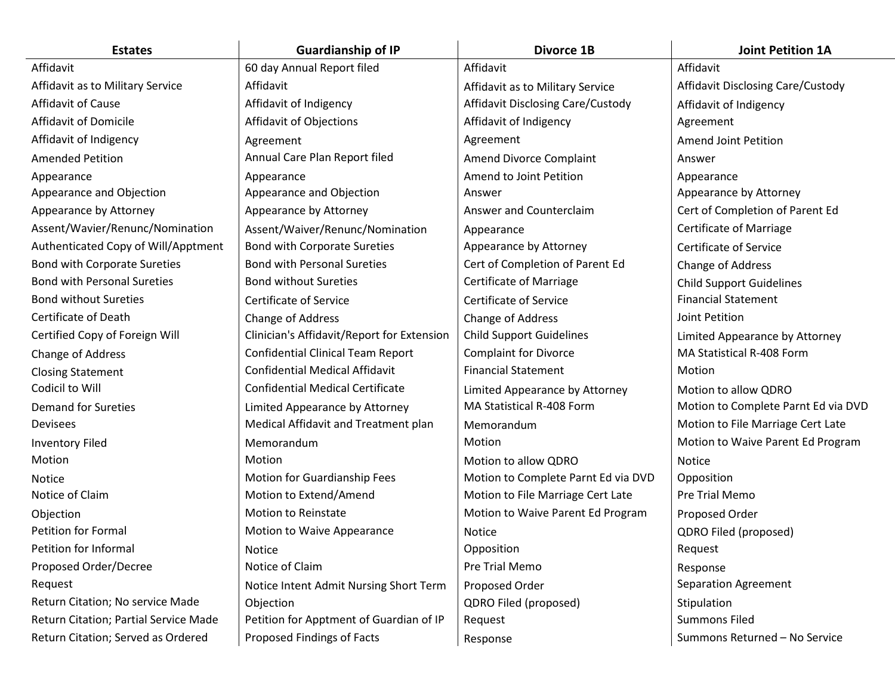| <b>Estates</b>                        | <b>Guardianship of IP</b>                  | <b>Divorce 1B</b>                   | <b>Joint Petition 1A</b>            |
|---------------------------------------|--------------------------------------------|-------------------------------------|-------------------------------------|
| Affidavit                             | 60 day Annual Report filed                 | Affidavit                           | Affidavit                           |
| Affidavit as to Military Service      | Affidavit                                  | Affidavit as to Military Service    | Affidavit Disclosing Care/Custody   |
| Affidavit of Cause                    | Affidavit of Indigency                     | Affidavit Disclosing Care/Custody   | Affidavit of Indigency              |
| Affidavit of Domicile                 | Affidavit of Objections                    | Affidavit of Indigency              | Agreement                           |
| Affidavit of Indigency                | Agreement                                  | Agreement                           | <b>Amend Joint Petition</b>         |
| <b>Amended Petition</b>               | Annual Care Plan Report filed              | Amend Divorce Complaint             | Answer                              |
| Appearance                            | Appearance                                 | Amend to Joint Petition             | Appearance                          |
| Appearance and Objection              | Appearance and Objection                   | Answer                              | Appearance by Attorney              |
| Appearance by Attorney                | Appearance by Attorney                     | Answer and Counterclaim             | Cert of Completion of Parent Ed     |
| Assent/Wavier/Renunc/Nomination       | Assent/Waiver/Renunc/Nomination            | Appearance                          | <b>Certificate of Marriage</b>      |
| Authenticated Copy of Will/Apptment   | <b>Bond with Corporate Sureties</b>        | Appearance by Attorney              | <b>Certificate of Service</b>       |
| Bond with Corporate Sureties          | <b>Bond with Personal Sureties</b>         | Cert of Completion of Parent Ed     | Change of Address                   |
| <b>Bond with Personal Sureties</b>    | <b>Bond without Sureties</b>               | <b>Certificate of Marriage</b>      | <b>Child Support Guidelines</b>     |
| <b>Bond without Sureties</b>          | <b>Certificate of Service</b>              | Certificate of Service              | <b>Financial Statement</b>          |
| Certificate of Death                  | Change of Address                          | Change of Address                   | Joint Petition                      |
| Certified Copy of Foreign Will        | Clinician's Affidavit/Report for Extension | <b>Child Support Guidelines</b>     | Limited Appearance by Attorney      |
| Change of Address                     | <b>Confidential Clinical Team Report</b>   | <b>Complaint for Divorce</b>        | MA Statistical R-408 Form           |
| <b>Closing Statement</b>              | <b>Confidential Medical Affidavit</b>      | <b>Financial Statement</b>          | Motion                              |
| Codicil to Will                       | <b>Confidential Medical Certificate</b>    | Limited Appearance by Attorney      | Motion to allow QDRO                |
| <b>Demand for Sureties</b>            | Limited Appearance by Attorney             | MA Statistical R-408 Form           | Motion to Complete Parnt Ed via DVD |
| Devisees                              | Medical Affidavit and Treatment plan       | Memorandum                          | Motion to File Marriage Cert Late   |
| <b>Inventory Filed</b>                | Memorandum                                 | Motion                              | Motion to Waive Parent Ed Program   |
| Motion                                | Motion                                     | Motion to allow QDRO                | Notice                              |
| Notice                                | Motion for Guardianship Fees               | Motion to Complete Parnt Ed via DVD | Opposition                          |
| Notice of Claim                       | Motion to Extend/Amend                     | Motion to File Marriage Cert Late   | Pre Trial Memo                      |
| Objection                             | <b>Motion to Reinstate</b>                 | Motion to Waive Parent Ed Program   | Proposed Order                      |
| <b>Petition for Formal</b>            | Motion to Waive Appearance                 | Notice                              | QDRO Filed (proposed)               |
| Petition for Informal                 | Notice                                     | Opposition                          | Request                             |
| Proposed Order/Decree                 | Notice of Claim                            | Pre Trial Memo                      | Response                            |
| Request                               | Notice Intent Admit Nursing Short Term     | Proposed Order                      | Separation Agreement                |
| Return Citation; No service Made      | Objection                                  | QDRO Filed (proposed)               | Stipulation                         |
| Return Citation; Partial Service Made | Petition for Apptment of Guardian of IP    | Request                             | <b>Summons Filed</b>                |
| Return Citation; Served as Ordered    | Proposed Findings of Facts                 | Response                            | Summons Returned - No Service       |